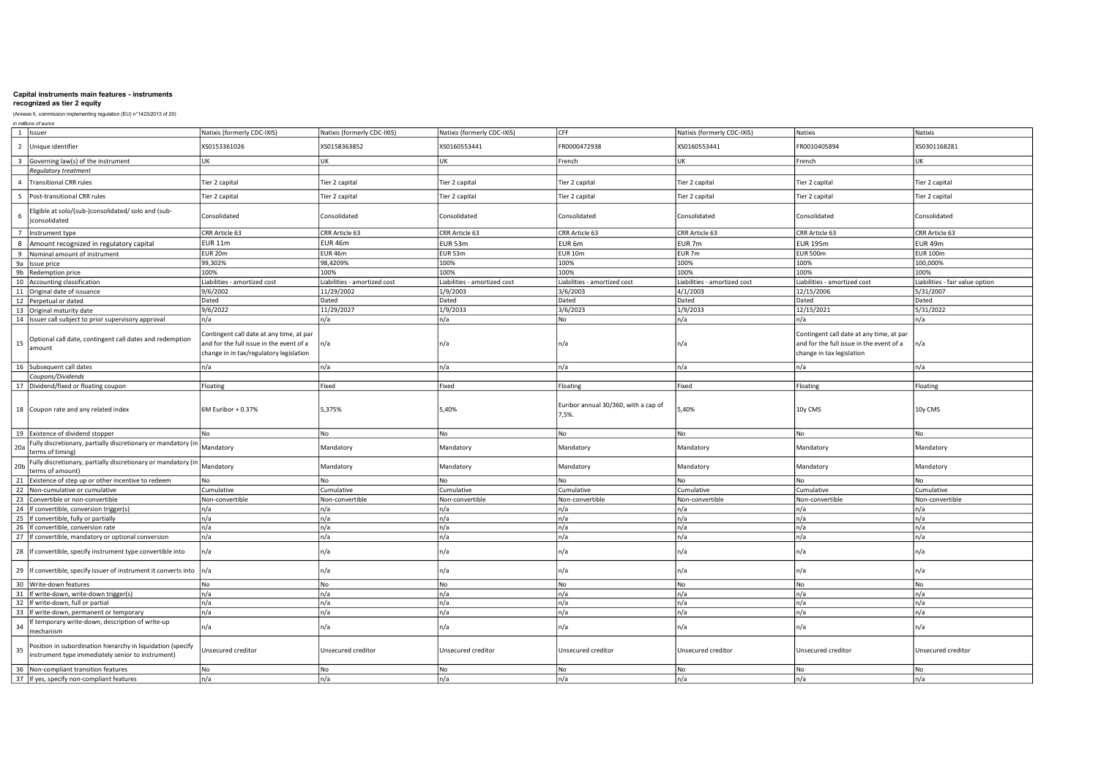#### recognized as tier 2 equity

#### (Annexe II, commission implementing regulation (EU) n°1423/2013 of 20)

in millions of euros 1 Issuer Natixis (formerly CDC-IXIS) Natixis (formerly CDC-IXIS) Natixis (formerly CDC-IXIS) CFF Natixis (formerly CDC-IXIS) Natixis Natixis 2 |Unique identifier XS01168281 XS0158363026 XS0158363852 XS0160553441 KS0160553441 KS0301168281 XS0301168281 XS0301168281 XS0301168281 3 Governing law(s) of the instrument UK UK UK UK UK French UK French UK French UK French UK French UK French UK Regulatory treatment 4 Transitional CRR rules Capital Tier 2 capital Tier 2 capital Tier 2 capital Tier 2 capital Tier 2 capital Tier 2 capital Tier 2 capital Tier 2 capital Tier 2 capital Tier 2 capital Tier 2 capital Tier 2 capital Tier 2 ca 5 Post-transitional CRR rules Capital Tier 2 capital Tier 2 capital Tier 2 capital Tier 2 capital Tier 2 capital Tier 2 capital Tier 2 capital Tier 2 capital Tier 2 capital Tier 2 capital Tier 2 capital Tier 2 capital Tier 6 Eligible at solo/(sub-)consolidated/ solo and (sub-<br>Iconsolidated )consolidated Consolidated Consolidated Consolidated Consolidated Consolidated Consolidated Consolidated 7 |Instrument type CRR Article 63 CRR Article 63 CRR Article 63 CRR Article 63 CRR Article 63 CRR Article 63 CRR Article 63 CRR Article 63 CRR Article 63 CRR Article 63 CRR Article 63 CRR Article 63 CRR Article 63 CRR Arti 8 Amount recognized in regulatory capital EUR 11m EUR 46m EUR 53m EUR 6m EUR 7m EUR 195m EUR 49m 9 Nominal amount of instrument EUR 20m EUR 46m EUR 53m EUR 10m EUR 7m EUR 500m EUR 100m 9a Issue price 99,302% 98,4209% 100% 100% 100% 100% 100,000% 9b Redemption price 100% 100% 100% 100% 100% 100% 100% 10 Accounting classification Liabilities - amortized cost Liabilities - amortized cost Liabilities - amortized cost Liabilities - amortized cost Liabilities - amortized cost Liabilities - amortized cost Liabilities - fair value option 11 Original date of issuance 9/6/2002 11/29/2002 1/9/2003 3/6/2003 4/1/2003 12/15/2006 5/31/2007 12 |Perpetual or dated |Dated |Dated |Dated |Dated |Dated |Dated |Dated |Dated |Dated |Dated |Dated |Dated |Dated |Dated |Dated |Dated |Dated |Dated |Dated |Dated |Dated |Dated |Dated |Dated |Dated |Dated |Dated |Dated |Da 13 Original maturity date 9/6/2022 11/29/2027 1/9/2033 3/6/2023 1/9/2033 12/15/2021 5/31/2022 14 Issuer call subject to prior supervisory approval n/a n/a n/a No n/a n/a n/a 15 Optional call date, contingent call dates and redemption amount Contingent call date at any time, at par and for the full issue in the event of a change in in tax/regulatory legislation n/a n/a n/a n/a Contingent call date at any time, at par and for the full issue in the event of a change in tax legislation n/a 16 Subsequent call dates n/a n/a n/a n/a n/a n/a n/a Coupons/Dividends 17 Dividend/fixed or floating coupon Floating Floating Fixed Fixed Fixed Floating Floating Floating Floating Floating Floating Floating Floating Floating Floating Floating Floating Floating Floating Floating Floating Float 18 Coupon rate and any related index **6M Euribor + 0.37%** 5,375% 5,375% 5,40% 5,40% Furibor annual 30/360, with a cap of  $7.5\%$ . 10y CMS 10y CMS 10y CMS 10y CMS 10y CMS 10y CMS 10y CMS 19 Existence of dividend stopper No No No No No No No 20a Fully discretionary, partially discretionary or mandatory (in runy usu-euonary of the mandatory Mandatory Mandatory Mandatory Mandatory Mandatory Mandatory Mandatory Mandatory Mandatory Mandatory Mandatory Mandatory Mandatory Mandatory Mandatory Mandatory Mandatory Mandatory Mandator 20b Fully discretionary, partially discretionary or mandatory (in<br>terms of amount) runy usu-euonary particular mandatory and the mandatory Mandatory Mandatory Mandatory Mandatory Mandatory Mandatory Mandatory Mandatory Mandatory Mandatory Mandatory Mandatory Mandatory Mandatory Mandatory Mandatory Mandat 21 Existence of step up or other incentive to redeem No No No No No No No No No No No 22 Non-cumulative Cumulative Cumulative Cumulative Cumulative Cumulative Cumulative Cumulative Cumulative Cumulative Cumulative Cumulative Cumulative Cumulative Cumulative Cumulative Cumulative Cumulative Cumulative Cumula 23 Convertible or non-convertible Non-convertible Non-convertible Non-convertible Non-convertible Non-convertible Non-convertible Non-convertible Non-convertible Non-convertible Non-convertible Non-convertible Non-converti 24 If convertible, conversion trigger(s) n/a n/a n/a n/a n/a n/a n/a 25 If convertible, fully or partially n/a n/a n/a n/a n/a n/a n/a 26 If convertible, conversion rate n/a n/a n/a n/a n/a n/a n/a 27 | If convertible, mandatory or optional conversion | n/a | n/a | n/a | n/a | n/a | n/a | n/a | n/a | n/a | n/a | n/a | n/a | n/a 28 If convertible, specify instrument type convertible into n/a n/a n/a n/a n/a n/a n/a 29 If convertible, specify issuer of instrument it converts into n/a n/a n/a n/a n/a n/a n/a 30 Write-down features No No No No No No No  $\frac{31}{16}$  If write-down, write-down trigger(s)  $\frac{1}{1/2}$   $\frac{1}{1/2}$   $\frac{1}{1/2}$   $\frac{1}{1/2}$   $\frac{1}{1/2}$   $\frac{1}{1/2}$   $\frac{1}{1/2}$   $\frac{1}{1/2}$   $\frac{1}{1/2}$   $\frac{1}{1/2}$   $\frac{1}{1/2}$   $\frac{1}{1/2}$   $\frac{1}{1/2}$   $\frac{1}{1/2}$   $\frac{$ 32 If write-down, full or partial n/a n/a n/a n/a n/a n/a n/a 33 If write-down, permanent or temporary n/a n/a n/a n/a n/a n/a n/a 34 If temporary write-down, description of write-up mechanism n/a n/a n/a n/a n/a n/a n/a **Position in subordination hierarchy in liquidation (specify** Position in subordination herarchy instrument) Unsecured creditor Unsecured creditor Unsecured creditor Unsecured creditor Unsecured creditor Unsecured creditor Unsecured creditor Unsecured creditor Unsecured creditor Unse 36 Non-compliant transition features No No No No No No No 37 If yes, specify non-compliant features n/a n/a n/a n/a n/a n/a n/a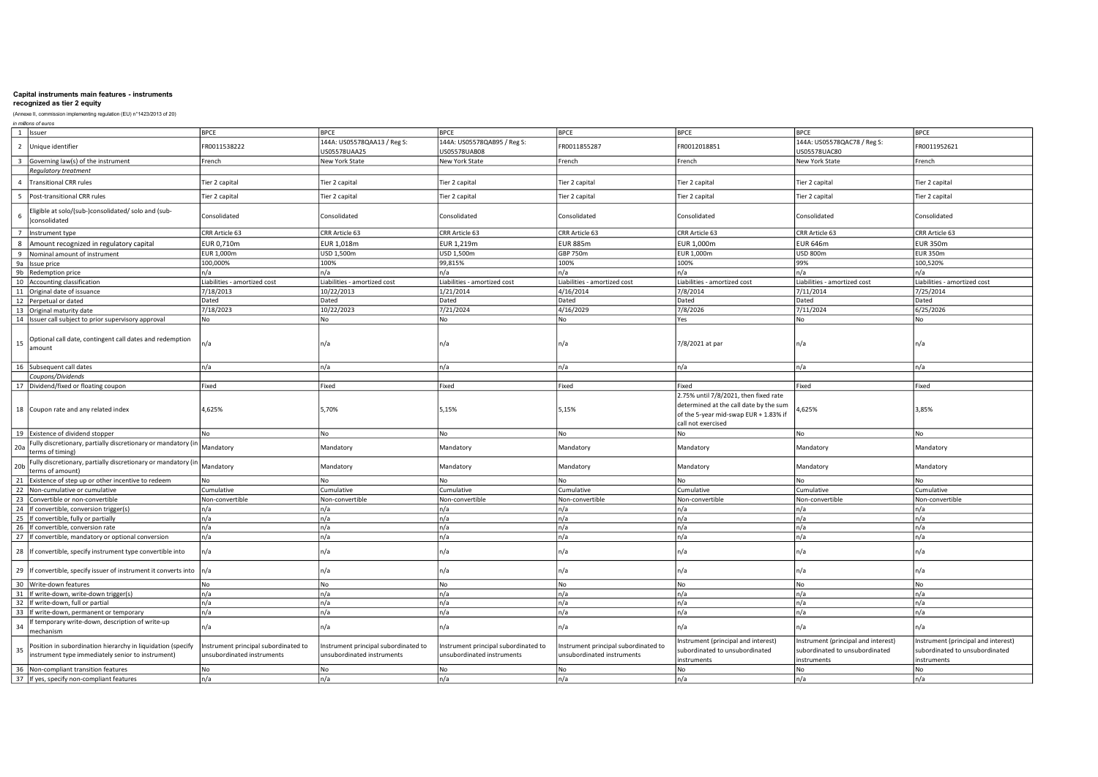# recognized as tier 2 equity

| (Annexe II, commission implementing regulation (EU) n°1423/2013 of 20)                                                |                                                                    |                                                                    |                                                                    |                                                                   |                                                                                                                                                |                                                                                      |                                                                                      |
|-----------------------------------------------------------------------------------------------------------------------|--------------------------------------------------------------------|--------------------------------------------------------------------|--------------------------------------------------------------------|-------------------------------------------------------------------|------------------------------------------------------------------------------------------------------------------------------------------------|--------------------------------------------------------------------------------------|--------------------------------------------------------------------------------------|
| in millions of euros<br>1 Issuer                                                                                      | <b>BPCE</b>                                                        | <b>BPCE</b>                                                        | <b>BPCE</b>                                                        | <b>BPCE</b>                                                       | <b>BPCE</b>                                                                                                                                    | <b>BPCE</b>                                                                          | <b>BPCE</b>                                                                          |
| $\overline{2}$<br>Unique identifier                                                                                   | FR0011538222                                                       | 144A: US05578QAA13 / Reg S:<br>US05578UAA25                        | 144A: US05578QAB95 / Reg S:<br>US05578UAB08                        | FR0011855287                                                      | FR0012018851                                                                                                                                   | 144A: US05578QAC78 / Reg S:<br>US05578UAC80                                          | FR0011952621                                                                         |
| $\overline{\mathbf{3}}$<br>Governing law(s) of the instrument                                                         | French                                                             | New York State                                                     | New York State                                                     | French                                                            | French                                                                                                                                         | New York State                                                                       | French                                                                               |
| Regulatory treatment                                                                                                  |                                                                    |                                                                    |                                                                    |                                                                   |                                                                                                                                                |                                                                                      |                                                                                      |
| <b>Transitional CRR rules</b><br>$\overline{4}$                                                                       | Fier 2 capital                                                     | Tier 2 capital                                                     | Tier 2 capital                                                     | Tier 2 capital                                                    | Tier 2 capital                                                                                                                                 | Tier 2 capital                                                                       | Tier 2 capital                                                                       |
| 5<br>Post-transitional CRR rules                                                                                      | ier 2 capital                                                      | Tier 2 capital                                                     | Tier 2 capital                                                     | Tier 2 capital                                                    | Tier 2 capital                                                                                                                                 | Tier 2 capital                                                                       | Tier 2 capital                                                                       |
| Eligible at solo/(sub-)consolidated/ solo and (sub-<br>6<br>consolidated                                              | Consolidated                                                       | Consolidated                                                       | Consolidated                                                       | Consolidated                                                      | Consolidated                                                                                                                                   | Consolidated                                                                         | Consolidated                                                                         |
| $\overline{7}$<br>Instrument type                                                                                     | CRR Article 63                                                     | CRR Article 63                                                     | CRR Article 63                                                     | CRR Article 63                                                    | CRR Article 63                                                                                                                                 | CRR Article 63                                                                       | CRR Article 63                                                                       |
| Amount recognized in regulatory capital<br>8                                                                          | EUR 0,710m                                                         | EUR 1,018m                                                         | <b>EUR 1,219m</b>                                                  | <b>EUR 885m</b>                                                   | EUR 1,000m                                                                                                                                     | <b>EUR 646m</b>                                                                      | <b>EUR 350m</b>                                                                      |
| 9<br>Nominal amount of instrument                                                                                     | EUR 1,000m                                                         | USD 1,500m                                                         | USD 1,500m                                                         | <b>GBP 750m</b>                                                   | EUR 1,000m                                                                                                                                     | <b>USD 800m</b>                                                                      | <b>EUR 350m</b>                                                                      |
| <b>9a</b><br>Issue price                                                                                              | 100,000%                                                           | 100%                                                               | 99,815%                                                            | 100%                                                              | 100%                                                                                                                                           | 99%                                                                                  | 100,520%                                                                             |
| 9b Redemption price                                                                                                   | ר/a                                                                | n/a                                                                | n/a                                                                | n/a                                                               | n/a                                                                                                                                            | n/a                                                                                  | n/a                                                                                  |
| 10 Accounting classification                                                                                          | iabilities - amortized cost                                        | Liabilities - amortized cost                                       | Liabilities - amortized cost                                       | Liabilities - amortized cost                                      | Liabilities - amortized cost                                                                                                                   | Liabilities - amortized cost                                                         | Liabilities - amortized cost                                                         |
| 11 Original date of issuance                                                                                          | 7/18/2013                                                          | 10/22/2013                                                         | 1/21/2014                                                          | 4/16/2014                                                         | 7/8/2014                                                                                                                                       | 7/11/2014                                                                            | 7/25/2014                                                                            |
| 12 Perpetual or dated                                                                                                 | Dated                                                              | Dated                                                              | Dated                                                              | Dated                                                             | Dated                                                                                                                                          | Dated                                                                                | Dated                                                                                |
| 13 Original maturity date                                                                                             | 7/18/2023                                                          | 10/22/2023                                                         | 7/21/2024                                                          | 4/16/2029                                                         | 7/8/2026                                                                                                                                       | 7/11/2024                                                                            | 6/25/2026                                                                            |
| 14 Issuer call subject to prior supervisory approval                                                                  | No                                                                 | <b>No</b>                                                          | l No                                                               | No                                                                | Yes                                                                                                                                            | N <sub>o</sub>                                                                       | No                                                                                   |
|                                                                                                                       |                                                                    |                                                                    |                                                                    |                                                                   |                                                                                                                                                |                                                                                      |                                                                                      |
| Optional call date, contingent call dates and redemption<br>15<br>amount                                              | n/a                                                                | n/a                                                                | n/a                                                                | n/a                                                               | 7/8/2021 at par                                                                                                                                | n/a                                                                                  | n/a                                                                                  |
| 16 Subsequent call dates                                                                                              | n/a                                                                | n/a                                                                | n/a                                                                | n/a                                                               | n/a                                                                                                                                            | n/a                                                                                  | n/a                                                                                  |
| Coupons/Dividends                                                                                                     |                                                                    |                                                                    |                                                                    |                                                                   |                                                                                                                                                |                                                                                      |                                                                                      |
| 17 Dividend/fixed or floating coupon                                                                                  | Fixed                                                              | Fixed                                                              | Fixed                                                              | Fixed                                                             | Fixed                                                                                                                                          | Fixed                                                                                | Fixed                                                                                |
| 18 Coupon rate and any related index                                                                                  | 4,625%                                                             | 5,70%                                                              | 5,15%                                                              | 5,15%                                                             | 2.75% until 7/8/2021, then fixed rate<br>determined at the call date by the sum<br>of the 5-year mid-swap EUR + 1.83% if<br>call not exercised | ,625%                                                                                | 3,85%                                                                                |
| 19 Existence of dividend stopper                                                                                      | No                                                                 | No                                                                 | No                                                                 | No                                                                | No                                                                                                                                             | No                                                                                   | No                                                                                   |
| Fully discretionary, partially discretionary or mandatory<br>20a<br>erms of timing)                                   | Mandatory                                                          | Mandatory                                                          | Mandatory                                                          | Mandatory                                                         | Mandatory                                                                                                                                      | Mandatory                                                                            | Mandatory                                                                            |
| Fully discretionary, partially discretionary or mandatory<br>20 <sub>b</sub><br>erms of amount)                       | Mandatory                                                          | Mandatory                                                          | Mandatory                                                          | Mandatory                                                         | Mandatory                                                                                                                                      | Mandatory                                                                            | Mandatory                                                                            |
| Existence of step up or other incentive to redeem<br>21                                                               | No                                                                 | <b>No</b>                                                          | No.                                                                | No                                                                | No                                                                                                                                             | N <sub>o</sub>                                                                       | No                                                                                   |
| 22<br>Non-cumulative or cumulative                                                                                    | Cumulative                                                         | Cumulative                                                         | Cumulative                                                         | Cumulative                                                        | Cumulative                                                                                                                                     | Cumulative                                                                           | Cumulative                                                                           |
| 23<br>Convertible or non-convertible                                                                                  | Non-convertible                                                    | Non-convertible                                                    | Non-convertible                                                    | Non-convertible                                                   | Non-convertible                                                                                                                                | Non-convertible                                                                      | Non-convertible                                                                      |
| 24<br>If convertible, conversion trigger(s)                                                                           | n/a                                                                | n/a                                                                | n/a                                                                | n/a                                                               | n/a                                                                                                                                            | n/a                                                                                  | n/a                                                                                  |
| 25<br>If convertible, fully or partially                                                                              | n/a                                                                | n/a                                                                | n/a                                                                | n/a                                                               | n/a                                                                                                                                            | n/a                                                                                  | n/a                                                                                  |
| 26<br>If convertible, conversion rate                                                                                 | n/a                                                                | n/a                                                                | n/a                                                                | n/a                                                               | n/a                                                                                                                                            | n/a                                                                                  | n/a                                                                                  |
| 27 If convertible, mandatory or optional conversion                                                                   | n/a                                                                | n/a                                                                | n/a                                                                | n/a                                                               | n/a                                                                                                                                            | n/a                                                                                  | n/a                                                                                  |
| 28 If convertible, specify instrument type convertible into                                                           | n/a                                                                | n/a                                                                | n/a                                                                | n/a                                                               | n/a                                                                                                                                            | n/a                                                                                  | n/a                                                                                  |
| 29 If convertible, specify issuer of instrument it converts into                                                      | n/a                                                                | n/a                                                                | n/a                                                                | n/a                                                               | n/a                                                                                                                                            | n/a                                                                                  | n/a                                                                                  |
| 30 Write-down features                                                                                                | No                                                                 | No                                                                 | No                                                                 | No                                                                | No                                                                                                                                             | No                                                                                   | No                                                                                   |
| 31 If write-down, write-down trigger(s)                                                                               | n/a                                                                | n/a                                                                | n/a                                                                | n/a                                                               | n/a                                                                                                                                            | n/a                                                                                  | n/a                                                                                  |
| 32 If write-down, full or partial                                                                                     | n/a                                                                | n/a                                                                | n/a                                                                | n/a                                                               | n/a                                                                                                                                            | n/a                                                                                  | n/a                                                                                  |
| 33 If write-down, permanent or temporary                                                                              | n/a                                                                | n/a                                                                | n/a                                                                | n/a                                                               | n/a                                                                                                                                            | n/a                                                                                  | n/a                                                                                  |
| f temporary write-down, description of write-up<br>34<br>nechanism                                                    | n/a                                                                | n/a                                                                | n/a                                                                | n/a                                                               | n/a                                                                                                                                            | n/a                                                                                  | n/a                                                                                  |
| Position in subordination hierarchy in liquidation (specify<br>35<br>nstrument type immediately senior to instrument) | Instrument principal subordinated to<br>unsubordinated instruments | Instrument principal subordinated to<br>unsubordinated instruments | Instrument principal subordinated to<br>unsubordinated instruments | nstrument principal subordinated to<br>unsubordinated instruments | Instrument (principal and interest)<br>subordinated to unsubordinated<br>instruments                                                           | Instrument (principal and interest)<br>subordinated to unsubordinated<br>instruments | Instrument (principal and interest)<br>subordinated to unsubordinated<br>instruments |
| 36 Non-compliant transition features                                                                                  | No                                                                 | <b>No</b>                                                          | l No                                                               | No                                                                | No.                                                                                                                                            | N <sub>0</sub>                                                                       | No                                                                                   |
| 37 If yes, specify non-compliant features                                                                             | n/a                                                                | n/a                                                                | n/a                                                                | n/a                                                               | n/a                                                                                                                                            | n/a                                                                                  | n/a                                                                                  |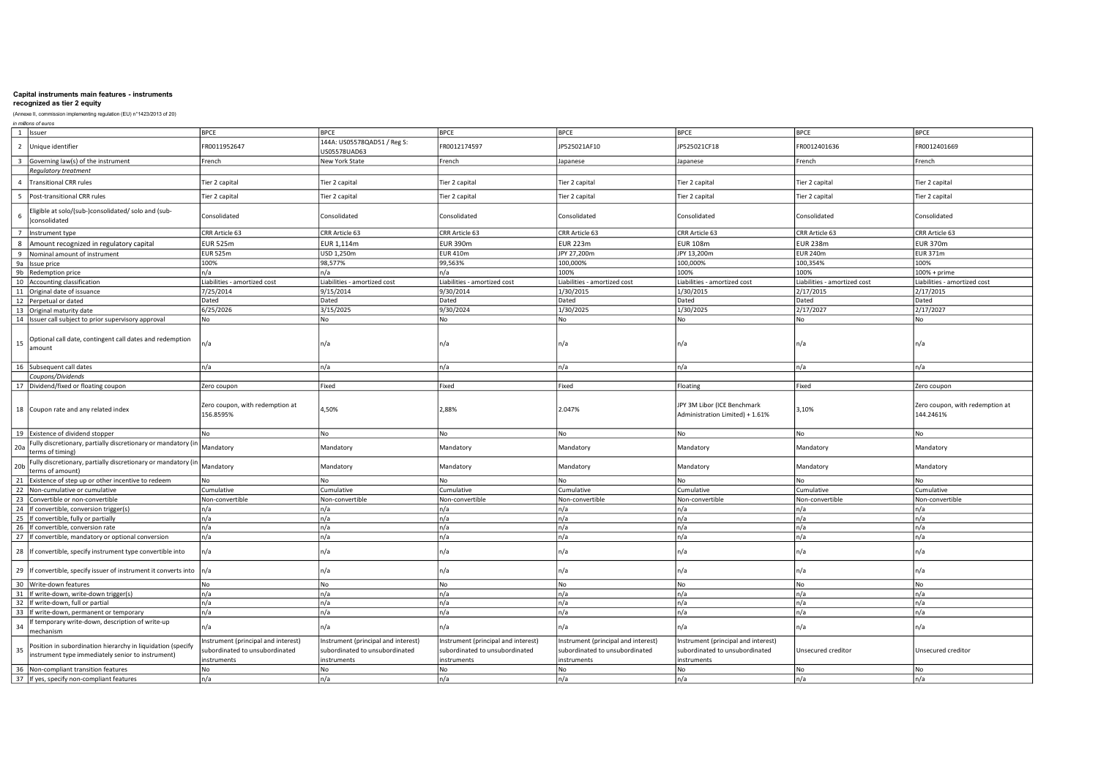# recognized as tier 2 equity

| in millions of euros                                                                                                  |                                                                                     |                                                                                      |                                                                                      |                                                                                      |                                                                                      |                              |                                              |
|-----------------------------------------------------------------------------------------------------------------------|-------------------------------------------------------------------------------------|--------------------------------------------------------------------------------------|--------------------------------------------------------------------------------------|--------------------------------------------------------------------------------------|--------------------------------------------------------------------------------------|------------------------------|----------------------------------------------|
| 1 Issuer                                                                                                              | <b>BPCE</b>                                                                         | <b>BPCE</b>                                                                          | <b>BPCE</b>                                                                          | <b>BPCE</b>                                                                          | <b>BPCE</b>                                                                          | <b>BPCE</b>                  | <b>BPCE</b>                                  |
| $\overline{2}$<br>Unique identifier                                                                                   | FR0011952647                                                                        | 144A: US05578QAD51 / Reg S:<br>US05578UAD63                                          | FR0012174597                                                                         | JP525021AF10                                                                         | IP525021CF18                                                                         | FR0012401636                 | FR0012401669                                 |
| Governing law(s) of the instrument<br>$\overline{3}$                                                                  | French                                                                              | New York State                                                                       | French                                                                               | Japanese                                                                             | Japanese                                                                             | French                       | French                                       |
| Regulatory treatment                                                                                                  |                                                                                     |                                                                                      |                                                                                      |                                                                                      |                                                                                      |                              |                                              |
| $\Delta$<br><b>Transitional CRR rules</b>                                                                             | Tier 2 capital                                                                      | Tier 2 capital                                                                       | Tier 2 capital                                                                       | Tier 2 capital                                                                       | Tier 2 capital                                                                       | Tier 2 capital               | Tier 2 capital                               |
| 5<br>Post-transitional CRR rules                                                                                      | Tier 2 capital                                                                      | Tier 2 capital                                                                       | Tier 2 capital                                                                       | Tier 2 capital                                                                       | Tier 2 capital                                                                       | Tier 2 capital               | Tier 2 capital                               |
| Eligible at solo/(sub-)consolidated/ solo and (sub-<br>consolidated                                                   | Consolidated                                                                        | Consolidated                                                                         | Consolidated                                                                         | Consolidated                                                                         | Consolidated                                                                         | Consolidated                 | Consolidated                                 |
| $\overline{7}$<br>Instrument type                                                                                     | CRR Article 63                                                                      | CRR Article 63                                                                       | CRR Article 63                                                                       | CRR Article 63                                                                       | CRR Article 63                                                                       | CRR Article 63               | CRR Article 63                               |
| 8<br>Amount recognized in regulatory capital                                                                          | <b>EUR 525m</b>                                                                     | EUR 1,114m                                                                           | <b>EUR 390m</b>                                                                      | <b>EUR 223m</b>                                                                      | <b>EUR 108m</b>                                                                      | <b>EUR 238m</b>              | <b>EUR 370m</b>                              |
| Nominal amount of instrument<br>9                                                                                     | <b>EUR 525m</b>                                                                     | USD 1,250m                                                                           | <b>EUR 410m</b>                                                                      | JPY 27,200m                                                                          | JPY 13,200m                                                                          | <b>EUR 240m</b>              | <b>EUR 371m</b>                              |
| <b>9a</b><br>Issue price                                                                                              | 100%                                                                                | 98,577%                                                                              | 99,563%                                                                              | 100,000%                                                                             | 100,000%                                                                             | 100,354%                     | 100%                                         |
| 9 <sub>b</sub><br>Redemption price                                                                                    | ٦/a                                                                                 | n/a                                                                                  | n/a                                                                                  | 100%                                                                                 | 100%                                                                                 | 100%                         | 100% + prime                                 |
| Accounting classification<br>10                                                                                       | Liabilities - amortized cost                                                        | Liabilities - amortized cost                                                         | Liabilities - amortized cost                                                         | Liabilities - amortized cost                                                         | Liabilities - amortized cost                                                         | Liabilities - amortized cost | Liabilities - amortized cost                 |
| 11 Original date of issuance                                                                                          | 7/25/2014                                                                           | 9/15/2014                                                                            | 9/30/2014                                                                            | 1/30/2015                                                                            | 1/30/2015                                                                            | 2/17/2015                    | 2/17/2015                                    |
| 12 Perpetual or dated                                                                                                 | Dated                                                                               | Dated                                                                                | Dated                                                                                | Dated                                                                                | Dated                                                                                | Dated                        | Dated                                        |
| 13 Original maturity date                                                                                             | 6/25/2026                                                                           | 3/15/2025                                                                            | 9/30/2024                                                                            | 1/30/2025                                                                            | 1/30/2025                                                                            | 2/17/2027                    | 2/17/2027                                    |
| 14 Issuer call subject to prior supervisory approval                                                                  | No                                                                                  | No                                                                                   | No                                                                                   | No                                                                                   | No                                                                                   | No                           | No                                           |
| Optional call date, contingent call dates and redemption<br>15<br>amount                                              | ה/ו                                                                                 | n/a                                                                                  | n/a                                                                                  | n/a                                                                                  | n/a                                                                                  | n/a                          | n/a                                          |
| 16 Subsequent call dates                                                                                              | n/a                                                                                 | n/a                                                                                  | n/a                                                                                  | n/a                                                                                  | n/a                                                                                  | n/a                          | n/a                                          |
| Coupons/Dividends                                                                                                     |                                                                                     |                                                                                      |                                                                                      |                                                                                      |                                                                                      |                              |                                              |
| 17 Dividend/fixed or floating coupon                                                                                  | Zero coupon                                                                         | Fixed                                                                                | Fixed                                                                                | Fixed                                                                                | Floating                                                                             | Fixed                        | Zero coupon                                  |
| 18 Coupon rate and any related index                                                                                  | Zero coupon, with redemption at<br>156.8595%                                        | 4,50%                                                                                | 2,88%                                                                                | 2.047%                                                                               | JPY 3M Libor (ICE Benchmark<br>Administration Limited) + 1.61%                       | 3,10%                        | Zero coupon, with redemption at<br>144.2461% |
| Existence of dividend stopper<br>19                                                                                   | No                                                                                  | No                                                                                   | No                                                                                   | No                                                                                   | No                                                                                   | No                           | No                                           |
| ully discretionary, partially discretionary or mandatory (<br>20a<br>terms of timing)                                 | Mandatory                                                                           | Mandatory                                                                            | Mandatory                                                                            | Mandatory                                                                            | Mandatory                                                                            | Mandatory                    | Mandatory                                    |
| Fully discretionary, partially discretionary or mandatory (in<br>20 <sub>b</sub><br>terms of amount)                  | Mandatory                                                                           | Mandatory                                                                            | Mandatory                                                                            | Mandatory                                                                            | Mandatory                                                                            | Mandatory                    | Mandatory                                    |
| 21<br>Existence of step up or other incentive to redeem                                                               | No                                                                                  | No                                                                                   | No                                                                                   | No                                                                                   | No                                                                                   | No                           | No                                           |
| 22 Non-cumulative or cumulative                                                                                       | Cumulative                                                                          | Cumulative                                                                           | Cumulative                                                                           | Cumulative                                                                           | Cumulative                                                                           | Cumulative                   | Cumulative                                   |
| 23<br>Convertible or non-convertible                                                                                  | Non-convertible                                                                     | Non-convertible                                                                      | Non-convertible                                                                      | Non-convertible                                                                      | Non-convertible                                                                      | Non-convertible              | Non-convertible                              |
| 24 If convertible, conversion trigger(s)                                                                              | n/a                                                                                 | n/a                                                                                  | n/a                                                                                  | n/a                                                                                  | n/a                                                                                  | n/a                          | n/a                                          |
| 25 If convertible, fully or partially                                                                                 | n/a                                                                                 | n/a                                                                                  | n/a                                                                                  | n/a                                                                                  | n/a                                                                                  | n/a                          | n/a                                          |
| 26 If convertible, conversion rate                                                                                    | n/a                                                                                 | n/a                                                                                  | n/a                                                                                  | n/a                                                                                  | n/a                                                                                  | n/a                          | n/a                                          |
| 27 If convertible, mandatory or optional conversion                                                                   | n/a                                                                                 | n/a                                                                                  | n/a                                                                                  | n/a                                                                                  | n/a                                                                                  | n/a                          | n/a                                          |
| 28 If convertible, specify instrument type convertible into                                                           | n/a                                                                                 | n/a                                                                                  | n/a                                                                                  | n/a                                                                                  | n/a                                                                                  | n/a                          | n/a                                          |
| 29 If convertible, specify issuer of instrument it converts into n/a                                                  |                                                                                     | n/a                                                                                  | n/a                                                                                  | n/a                                                                                  | n/a                                                                                  | n/a                          | n/a                                          |
| 30 Write-down features                                                                                                | No                                                                                  | No                                                                                   | No                                                                                   | l No                                                                                 | No                                                                                   | No                           | l No                                         |
| 31   If write-down, write-down trigger(s)                                                                             | n/a                                                                                 | n/a                                                                                  | n/a                                                                                  | n/a                                                                                  | n/a                                                                                  | n/a                          | n/a                                          |
| 32 If write-down, full or partial                                                                                     | n/a                                                                                 | n/a                                                                                  | n/a                                                                                  | n/a                                                                                  | n/a                                                                                  | n/a                          | n/a                                          |
| 33 If write-down, permanent or temporary                                                                              | n/a                                                                                 | n/a                                                                                  | n/a                                                                                  | n/a                                                                                  | n/a                                                                                  | n/a                          | n/a                                          |
| f temporary write-down, description of write-up<br>34<br>nechanism                                                    | n/a                                                                                 | n/a                                                                                  | n/a                                                                                  | n/a                                                                                  | n/a                                                                                  | n/a                          | n/a                                          |
| Position in subordination hierarchy in liquidation (specify<br>35<br>nstrument type immediately senior to instrument) | Instrument (principal and interest)<br>ubordinated to unsubordinated<br>instruments | Instrument (principal and interest)<br>subordinated to unsubordinated<br>instruments | Instrument (principal and interest)<br>subordinated to unsubordinated<br>instruments | Instrument (principal and interest)<br>subordinated to unsubordinated<br>instruments | Instrument (principal and interest)<br>subordinated to unsubordinated<br>instruments | Unsecured creditor           | Unsecured creditor                           |
| 36 Non-compliant transition features                                                                                  | No                                                                                  | <b>No</b>                                                                            | No                                                                                   | No                                                                                   | <b>No</b>                                                                            | No                           | N <sub>0</sub>                               |
| 37 If yes, specify non-compliant features                                                                             | n/a                                                                                 | n/a                                                                                  | n/a                                                                                  | n/a                                                                                  | n/a                                                                                  | n/a                          | n/a                                          |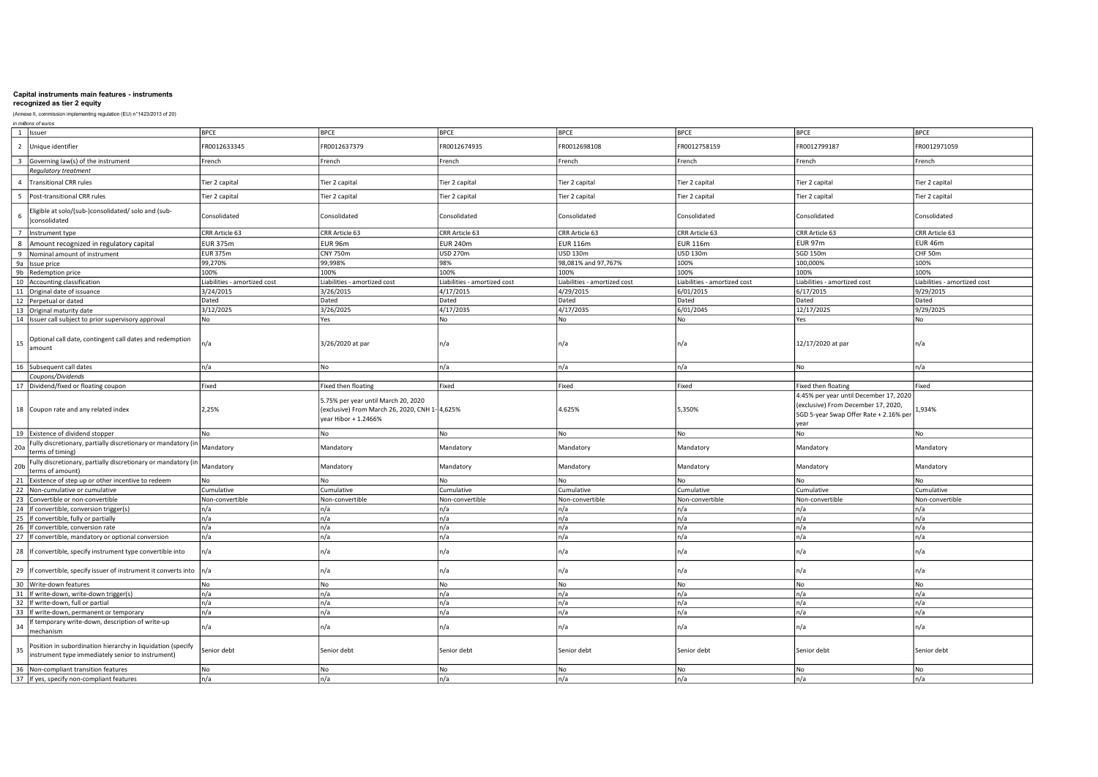# recognized as tier 2 equity

|                         | in millions of euros                                                                                             |                              |                                                                                                               |                              |                              |                              |                                                                                       |                              |
|-------------------------|------------------------------------------------------------------------------------------------------------------|------------------------------|---------------------------------------------------------------------------------------------------------------|------------------------------|------------------------------|------------------------------|---------------------------------------------------------------------------------------|------------------------------|
|                         | 1 Issuer                                                                                                         | <b>BPCE</b>                  | <b>BPCE</b>                                                                                                   | <b>BPCE</b>                  | <b>BPCE</b>                  | <b>BPCE</b>                  | <b>BPCE</b>                                                                           | <b>BPCE</b>                  |
|                         | 2 Unique identifier                                                                                              | FR0012633345                 | R0012637379                                                                                                   | FR0012674935                 | FR0012698108                 | FR0012758159                 | FR0012799187                                                                          | FR0012971059                 |
| $\overline{\mathbf{3}}$ | Governing law(s) of the instrument                                                                               | French                       | French                                                                                                        | French                       | French                       | French                       | French                                                                                | French                       |
|                         | Regulatory treatment                                                                                             |                              |                                                                                                               |                              |                              |                              |                                                                                       |                              |
|                         | 4 Transitional CRR rules                                                                                         | Tier 2 capital               | Tier 2 capital                                                                                                | Tier 2 capital               | Tier 2 capital               | Tier 2 capital               | Tier 2 capital                                                                        | Tier 2 capital               |
| 5                       | Post-transitional CRR rules                                                                                      | Tier 2 capital               | Tier 2 capital                                                                                                | Tier 2 capital               | Tier 2 capital               | Tier 2 capital               | Tier 2 capital                                                                        | Tier 2 capital               |
| 6                       | Eligible at solo/(sub-)consolidated/ solo and (sub-<br>)consolidated                                             | Consolidated                 | Consolidated                                                                                                  | Consolidated                 | Consolidated                 | Consolidated                 | Consolidated                                                                          | Consolidated                 |
|                         | 7 Instrument type                                                                                                | CRR Article 63               | CRR Article 63                                                                                                | CRR Article 63               | CRR Article 63               | CRR Article 63               | CRR Article 63                                                                        | CRR Article 63               |
|                         | 8 Amount recognized in regulatory capital                                                                        | <b>EUR 375m</b>              | <b>EUR 96m</b>                                                                                                | <b>EUR 240m</b>              | <b>EUR 116m</b>              | <b>EUR 116m</b>              | <b>EUR 97m</b>                                                                        | EUR 46m                      |
|                         | 9 Nominal amount of instrument                                                                                   | <b>EUR 375m</b>              | <b>CNY 750m</b>                                                                                               | <b>USD 270m</b>              | USD 130m                     | <b>USD 130m</b>              | <b>SGD 150m</b>                                                                       | CHF 50m                      |
|                         | 9a Issue price                                                                                                   | 99,270%                      | 99,998%                                                                                                       | 98%                          | 98,081% and 97,767%          | 100%                         | 100,000%                                                                              | 100%                         |
|                         | 9b Redemption price                                                                                              | 100%                         | 100%                                                                                                          | 100%                         | 100%                         | 100%                         | 100%                                                                                  | 100%                         |
|                         | 10 Accounting classification                                                                                     | Liabilities - amortized cost | iabilities - amortized cost                                                                                   | Liabilities - amortized cost | Liabilities - amortized cost | Liabilities - amortized cost | Liabilities - amortized cost                                                          | Liabilities - amortized cost |
|                         | 11 Original date of issuance                                                                                     | 3/24/2015                    | 3/26/2015                                                                                                     | 4/17/2015                    | 4/29/2015                    | 6/01/2015                    | 6/17/2015                                                                             | 9/29/2015                    |
|                         | 12 Perpetual or dated                                                                                            | Dated                        | Dated                                                                                                         | Dated                        | Dated                        | Dated                        | Dated                                                                                 | Dated                        |
|                         | 13 Original maturity date                                                                                        | 3/12/2025                    | 3/26/2025                                                                                                     | 4/17/2035                    | 4/17/2035                    | 6/01/2045                    | 12/17/2025                                                                            | 9/29/2025                    |
|                         | 14 Issuer call subject to prior supervisory approval                                                             | No                           | Yes                                                                                                           | No                           | No                           | No                           | Yes                                                                                   | No                           |
|                         |                                                                                                                  |                              |                                                                                                               |                              |                              |                              |                                                                                       |                              |
| 15                      | Optional call date, contingent call dates and redemption<br>amount                                               | n/a                          | 3/26/2020 at par                                                                                              | n/a                          | n/a                          | n/a                          | 12/17/2020 at par                                                                     | n/a                          |
|                         | 16 Subsequent call dates                                                                                         | n/a                          | No                                                                                                            | n/a                          | In/a                         | n/a                          | No                                                                                    | n/a                          |
|                         | Coupons/Dividends                                                                                                |                              |                                                                                                               |                              |                              |                              |                                                                                       |                              |
|                         | 17 Dividend/fixed or floating coupon                                                                             | Fixed                        | Fixed then floating                                                                                           | Fixed                        | Fixed                        | Fixed                        | Fixed then floating                                                                   | Fixed                        |
|                         |                                                                                                                  |                              |                                                                                                               |                              |                              |                              | 4.45% per year until December 17, 2020                                                |                              |
|                         | 18 Coupon rate and any related index                                                                             | 2,25%                        | 5.75% per year until March 20, 2020<br>(exclusive) From March 26, 2020, CNH 1- 4,625%<br>rear Hibor + 1.2466% |                              | 4.625%                       | 5,350%                       | (exclusive) From December 17, 2020,<br>SGD 5-year Swap Offer Rate + 2.16% per<br>year | 1,934%                       |
|                         | 19 Existence of dividend stopper                                                                                 | No                           | No                                                                                                            | No                           | No                           | No                           | No                                                                                    | No                           |
| 20a                     | Fully discretionary, partially discretionary or mandatory (in<br>terms of timing)                                | Mandatory                    | Mandatory                                                                                                     | Mandatory                    | Mandatory                    | Mandatory                    | Mandatory                                                                             | Mandatory                    |
| 20 <sub>b</sub>         | Fully discretionary, partially discretionary or mandatory (in<br>terms of amount)                                | Mandatory                    | Mandatory                                                                                                     | Mandatory                    | Mandatory                    | Mandatory                    | Mandatory                                                                             | Mandatory                    |
|                         | 21 Existence of step up or other incentive to redeem                                                             | No                           | No                                                                                                            | No                           | No                           | No                           | No                                                                                    | No                           |
|                         | 22 Non-cumulative or cumulative                                                                                  | Cumulative                   | Cumulative                                                                                                    | Cumulative                   | Cumulative                   | Cumulative                   | Cumulative                                                                            | Cumulative                   |
|                         | 23 Convertible or non-convertible                                                                                | Non-convertible              | Non-convertible                                                                                               | Non-convertible              | Non-convertible              | Non-convertible              | Non-convertible                                                                       | Non-convertible              |
|                         | 24 If convertible, conversion trigger(s)                                                                         | n/a                          | n/a                                                                                                           | n/a                          | n/a                          | n/a                          | n/a                                                                                   | n/a                          |
|                         | 25 If convertible, fully or partially                                                                            | n/a                          | n/a                                                                                                           | n/a                          | n/a                          | n/a                          | n/a                                                                                   | n/a                          |
|                         | 26 If convertible, conversion rate                                                                               | n/a                          | n/a                                                                                                           | n/a                          | n/a                          | n/a                          | n/a                                                                                   | n/a                          |
|                         | 27 If convertible, mandatory or optional conversion                                                              | n/a                          | n/a                                                                                                           | n/a                          | n/a                          | n/a                          | n/a                                                                                   | n/a                          |
|                         | 28 If convertible, specify instrument type convertible into                                                      | n/a                          | n/a                                                                                                           | n/a                          | n/a                          | n/a                          | n/a                                                                                   | n/a                          |
|                         | 29 If convertible, specify issuer of instrument it converts into                                                 | n/a                          | n/a                                                                                                           | n/a                          | n/a                          | n/a                          | n/a                                                                                   | n/a                          |
|                         | 30 Write-down features                                                                                           | No                           | <b>No</b>                                                                                                     | No                           | l No                         | l No                         | No                                                                                    | No                           |
|                         | 31 If write-down, write-down trigger(s)                                                                          | n/a                          | n/a                                                                                                           | n/a                          | n/a                          | n/a                          | n/a                                                                                   | n/a                          |
|                         | 32 If write-down, full or partial                                                                                | n/a                          | n/a                                                                                                           | n/a                          | n/a                          | n/a                          | n/a                                                                                   | n/a                          |
|                         | 33 If write-down, permanent or temporary                                                                         | n/a                          | n/a                                                                                                           | n/a                          | n/a                          | n/a                          | n/a                                                                                   | n/a                          |
| 34                      | If temporary write-down, description of write-up<br>mechanism                                                    | n/a                          | n/a                                                                                                           | n/a                          | n/a                          | n/a                          | n/a                                                                                   | n/a                          |
| 35                      | Position in subordination hierarchy in liquidation (specify<br>instrument type immediately senior to instrument) | Senior debt                  | Senior debt                                                                                                   | Senior debt                  | Senior debt                  | Senior debt                  | Senior debt                                                                           | Senior debt                  |
|                         | 36 Non-compliant transition features                                                                             | No                           | No                                                                                                            | No                           | l No                         | <b>No</b>                    | No                                                                                    | No                           |
|                         | 37 If yes, specify non-compliant features                                                                        | n/a                          | n/a                                                                                                           | n/a                          | n/a                          | n/a                          | n/a                                                                                   | n/a                          |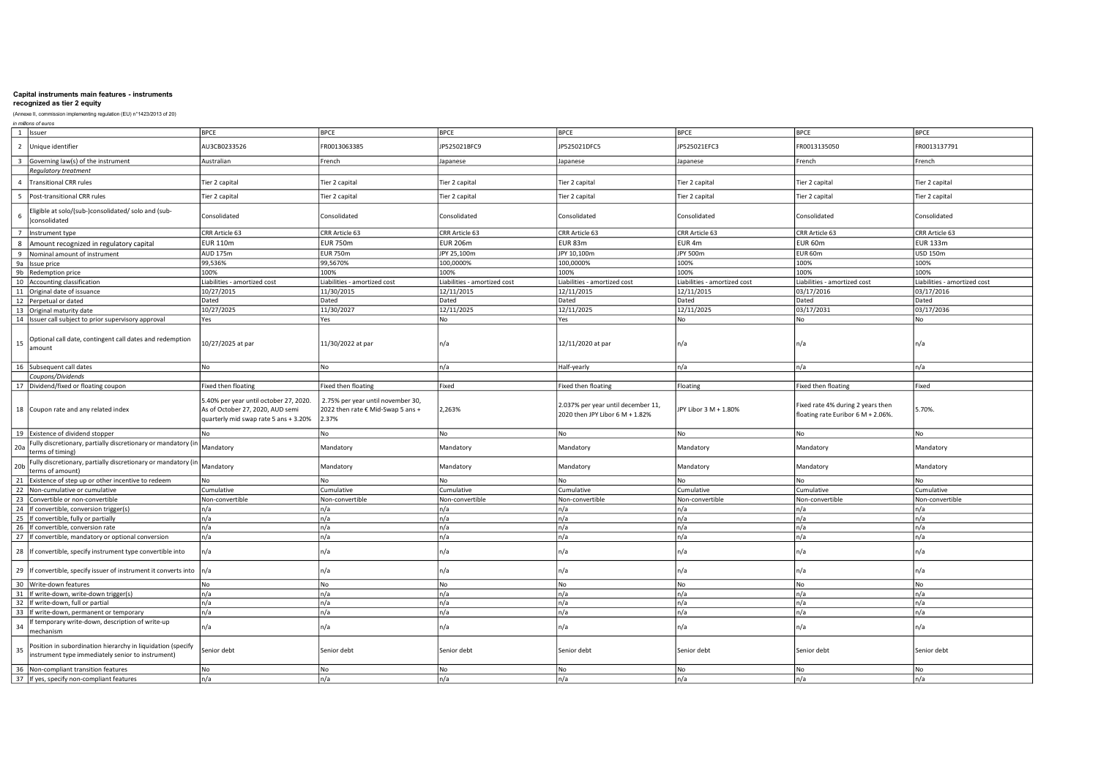# recognized as tier 2 equity

|                         | in millions of euros                                                                                             |                                                                                                                     |                                                                                 |                              |                                                                       |                              |                                                                         |                              |
|-------------------------|------------------------------------------------------------------------------------------------------------------|---------------------------------------------------------------------------------------------------------------------|---------------------------------------------------------------------------------|------------------------------|-----------------------------------------------------------------------|------------------------------|-------------------------------------------------------------------------|------------------------------|
|                         | 1 Issuer                                                                                                         | <b>BPCE</b>                                                                                                         | <b>BPCE</b>                                                                     | <b>BPCE</b>                  | <b>BPCE</b>                                                           | <b>BPCE</b>                  | <b>BPCE</b>                                                             | <b>BPCE</b>                  |
|                         | 2 Unique identifier                                                                                              | AU3CB0233526                                                                                                        | FR0013063385                                                                    | JP525021BFC9                 | JP525021DFC5                                                          | JP525021EFC3                 | FR0013135050                                                            | FR0013137791                 |
| $\overline{\mathbf{3}}$ | Governing law(s) of the instrument                                                                               | Australian                                                                                                          | French                                                                          | Japanese                     | Japanese                                                              | Japanese                     | French                                                                  | French                       |
|                         | <b>Requlatory treatment</b>                                                                                      |                                                                                                                     |                                                                                 |                              |                                                                       |                              |                                                                         |                              |
|                         | 4 Transitional CRR rules                                                                                         | Tier 2 capital                                                                                                      | Tier 2 capital                                                                  | Tier 2 capital               | Tier 2 capital                                                        | Tier 2 capital               | Tier 2 capital                                                          | Tier 2 capital               |
| 5                       | Post-transitional CRR rules                                                                                      | Tier 2 capital                                                                                                      | Tier 2 capital                                                                  | Tier 2 capital               | Tier 2 capital                                                        | Tier 2 capital               | Tier 2 capital                                                          | Tier 2 capital               |
| 6                       | Eligible at solo/(sub-)consolidated/ solo and (sub-<br>)consolidated                                             | Consolidated                                                                                                        | Consolidated                                                                    | Consolidated                 | Consolidated                                                          | Consolidated                 | Consolidated                                                            | Consolidated                 |
|                         | 7 Instrument type                                                                                                | CRR Article 63                                                                                                      | CRR Article 63                                                                  | CRR Article 63               | CRR Article 63                                                        | CRR Article 63               | CRR Article 63                                                          | CRR Article 63               |
|                         | 8 Amount recognized in regulatory capital                                                                        | <b>EUR 110m</b>                                                                                                     | <b>EUR 750m</b>                                                                 | <b>EUR 206m</b>              | EUR 83m                                                               | EUR <sub>4m</sub>            | EUR 60m                                                                 | <b>EUR 133m</b>              |
|                         | 9 Nominal amount of instrument                                                                                   | AUD 175m                                                                                                            | <b>EUR 750m</b>                                                                 | JPY 25,100m                  | JPY 10,100m                                                           | <b>JPY 500m</b>              | EUR 60m                                                                 | <b>USD 150m</b>              |
|                         | 9a Issue price                                                                                                   | 99,536%                                                                                                             | 99,5670%                                                                        | 100,0000%                    | 100,0000%                                                             | 100%                         | 100%                                                                    | 100%                         |
|                         | 9b Redemption price                                                                                              | 100%                                                                                                                | 100%                                                                            | 100%                         | 100%                                                                  | 100%                         | 100%                                                                    | 100%                         |
|                         | 10 Accounting classification                                                                                     | Liabilities - amortized cost                                                                                        | iabilities - amortized cost                                                     | Liabilities - amortized cost | Liabilities - amortized cost                                          | Liabilities - amortized cost | Liabilities - amortized cost                                            | Liabilities - amortized cost |
|                         | 11 Original date of issuance                                                                                     | 10/27/2015                                                                                                          | 11/30/2015                                                                      | 12/11/2015                   | 12/11/2015                                                            | 12/11/2015                   | 03/17/2016                                                              | 03/17/2016                   |
|                         | 12 Perpetual or dated                                                                                            | Dated                                                                                                               | Dated                                                                           | Dated                        | Dated                                                                 | Dated                        | Dated                                                                   | Dated                        |
|                         | 13 Original maturity date                                                                                        | 10/27/2025                                                                                                          | 11/30/2027                                                                      | 12/11/2025                   | 12/11/2025                                                            | 12/11/2025                   | 03/17/2031                                                              | 03/17/2036                   |
|                         |                                                                                                                  |                                                                                                                     |                                                                                 | No                           |                                                                       | No                           |                                                                         | No                           |
|                         | 14 Issuer call subject to prior supervisory approval                                                             | Yes                                                                                                                 | Yes                                                                             |                              | Yes                                                                   |                              | No                                                                      |                              |
| 15                      | Optional call date, contingent call dates and redemption<br>amount                                               | 10/27/2025 at par                                                                                                   | 11/30/2022 at par                                                               | n/a                          | 12/11/2020 at par                                                     | n/a                          | n/a                                                                     | n/a                          |
|                         | 16 Subsequent call dates                                                                                         | No                                                                                                                  | No                                                                              | n/a                          | Half-yearly                                                           | n/a                          | n/a                                                                     | n/a                          |
|                         | Coupons/Dividends                                                                                                |                                                                                                                     |                                                                                 |                              |                                                                       |                              |                                                                         |                              |
|                         | 17 Dividend/fixed or floating coupon                                                                             | Fixed then floating                                                                                                 | Fixed then floating                                                             | Fixed                        | Fixed then floating                                                   | Floating                     | Fixed then floating                                                     | Fixed                        |
|                         | 18 Coupon rate and any related index                                                                             | 5.40% per year until october 27, 2020.<br>As of October 27, 2020, AUD semi<br>quarterly mid swap rate 5 ans + 3.20% | 2.75% per year until november 30,<br>2022 then rate € Mid-Swap 5 ans +<br>2.37% | 2,263%                       | 2.037% per year until december 11,<br>2020 then JPY Libor 6 M + 1.82% | JPY Libor 3 M + 1.80%        | Fixed rate 4% during 2 years then<br>floating rate Euribor 6 M + 2.06%. | 5.70%                        |
|                         | 19 Existence of dividend stopper                                                                                 | N٥                                                                                                                  | <b>No</b>                                                                       | No                           | No                                                                    | <b>No</b>                    | No                                                                      | No                           |
| 20a                     | Fully discretionary, partially discretionary or mandatory (in<br>terms of timing)                                | Mandatory                                                                                                           | Mandatory                                                                       | Mandatory                    | Mandatory                                                             | Mandatory                    | Mandatory                                                               | Mandatory                    |
| 20 <sub>b</sub>         | Fully discretionary, partially discretionary or mandatory (in<br>terms of amount)                                | Mandatory                                                                                                           | Mandatory                                                                       | Mandatory                    | Mandatory                                                             | Mandatory                    | Mandatory                                                               | Mandatory                    |
|                         | 21 Existence of step up or other incentive to redeem                                                             | No                                                                                                                  | No                                                                              | No                           | No                                                                    | No                           | No                                                                      | No                           |
|                         | 22 Non-cumulative or cumulative                                                                                  | Cumulative                                                                                                          | Cumulative                                                                      | Cumulative                   | Cumulative                                                            | Cumulative                   | Cumulative                                                              | Cumulative                   |
|                         | 23 Convertible or non-convertible                                                                                | Non-convertible                                                                                                     | Non-convertible                                                                 | Non-convertible              | Non-convertible                                                       | Non-convertible              | Non-convertible                                                         | Non-convertible              |
|                         | 24 If convertible, conversion trigger(s)                                                                         | n/a                                                                                                                 | n/a                                                                             | n/a                          | n/a                                                                   | n/a                          | n/a                                                                     | n/a                          |
|                         | 25 If convertible, fully or partially                                                                            | n/a                                                                                                                 | n/a                                                                             | n/a                          | n/a                                                                   | n/a                          | n/a                                                                     | n/a                          |
|                         | 26 If convertible, conversion rate                                                                               | n/a                                                                                                                 | n/a                                                                             | n/a                          | n/a                                                                   | n/a                          | n/a                                                                     | n/a                          |
|                         | 27 If convertible, mandatory or optional conversion                                                              | n/a                                                                                                                 | n/a                                                                             | n/a                          | n/a                                                                   | n/a                          | n/a                                                                     | n/a                          |
|                         | 28 If convertible, specify instrument type convertible into                                                      | n/a                                                                                                                 | n/a                                                                             | n/a                          | n/a                                                                   | n/a                          | n/a                                                                     | n/a                          |
|                         | 29 If convertible, specify issuer of instrument it converts into                                                 | n/a                                                                                                                 | n/a                                                                             | n/a                          | n/a                                                                   | n/a                          | n/a                                                                     | n/a                          |
|                         | 30 Write-down features                                                                                           | No                                                                                                                  | <b>No</b>                                                                       | No                           | l No                                                                  | l No                         | No                                                                      | No                           |
|                         | 31 If write-down, write-down trigger(s)                                                                          | n/a                                                                                                                 | n/a                                                                             | n/a                          | n/a                                                                   | n/a                          | n/a                                                                     | n/a                          |
|                         | 32 If write-down, full or partial                                                                                | n/a                                                                                                                 | n/a                                                                             | n/a                          | n/a                                                                   | n/a                          | n/a                                                                     | n/a                          |
|                         | 33 If write-down, permanent or temporary                                                                         | n/a                                                                                                                 | n/a                                                                             | n/a                          | n/a                                                                   | n/a                          | n/a                                                                     | n/a                          |
| 34                      | If temporary write-down, description of write-up<br>mechanism                                                    | n/a                                                                                                                 | n/a                                                                             | n/a                          | n/a                                                                   | n/a                          | n/a                                                                     | n/a                          |
| 35                      | Position in subordination hierarchy in liquidation (specify<br>instrument type immediately senior to instrument) | Senior debt                                                                                                         | Senior debt                                                                     | Senior debt                  | Senior debt                                                           | Senior debt                  | Senior debt                                                             | Senior debt                  |
|                         |                                                                                                                  |                                                                                                                     |                                                                                 |                              |                                                                       |                              |                                                                         |                              |
|                         | 36 Non-compliant transition features<br>37 If yes, specify non-compliant features                                | No<br>n/a                                                                                                           | No<br>n/a                                                                       | No<br>n/a                    | l No<br>n/a                                                           | <b>No</b><br>n/a             | No<br>n/a                                                               | No<br>n/a                    |